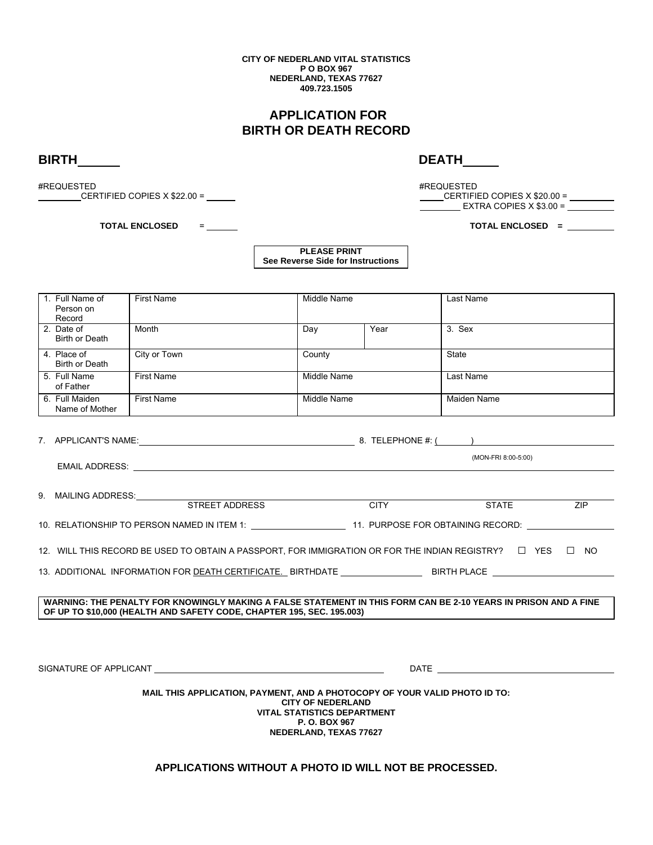**CITY OF NEDERLAND VITAL STATISTICS P O BOX 967 NEDERLAND, TEXAS 77627 409.723.1505**

## **APPLICATION FOR BIRTH OR DEATH RECORD**

**BIRTH DEATH** 

#REQUESTED #REQUESTED  $CERTIFIED COPIES X $22.00 = \n\qquad \qquad \qquad$ 

 **TOTAL ENCLOSED** = **TOTAL ENCLOSED =** 

EXTRA COPIES X \$3.00 =

**PLEASE PRINT See Reverse Side for Instructions**

| 1. Full Name of<br>Person on<br>Record                                                                                                                                                                                                                    | <b>First Name</b> | Middle Name |      | Last Name          |
|-----------------------------------------------------------------------------------------------------------------------------------------------------------------------------------------------------------------------------------------------------------|-------------------|-------------|------|--------------------|
| 2. Date of<br>Birth or Death                                                                                                                                                                                                                              | Month             | Day         | Year | 3. Sex             |
| 4. Place of<br><b>Birth or Death</b>                                                                                                                                                                                                                      | City or Town      | County      |      | State              |
| 5. Full Name<br>of Father                                                                                                                                                                                                                                 | <b>First Name</b> | Middle Name |      | Last Name          |
| 6. Full Maiden<br>Name of Mother                                                                                                                                                                                                                          | <b>First Name</b> | Middle Name |      | <b>Maiden Name</b> |
|                                                                                                                                                                                                                                                           |                   |             |      |                    |
| (MON-FRI 8:00-5:00)<br><b>EMAIL ADDRESS:</b> The contract of the contract of the contract of the contract of the contract of the contract of the contract of the contract of the contract of the contract of the contract of the contract of the contract |                   |             |      |                    |
| 9. MAILING ADDRESS: STREET ADDRESS                                                                                                                                                                                                                        |                   |             |      |                    |
| <b>CITY</b><br><b>STATE</b><br>ZIP                                                                                                                                                                                                                        |                   |             |      |                    |
| 10. RELATIONSHIP TO PERSON NAMED IN ITEM 1: ____________________11. PURPOSE FOR OBTAINING RECORD: ____________                                                                                                                                            |                   |             |      |                    |
| 12. WILL THIS RECORD BE USED TO OBTAIN A PASSPORT. FOR IMMIGRATION OR FOR THE INDIAN REGISTRY? $\square$ YES $\square$ NO                                                                                                                                 |                   |             |      |                    |
|                                                                                                                                                                                                                                                           |                   |             |      |                    |
|                                                                                                                                                                                                                                                           |                   |             |      |                    |
| WARNING: THE PENALTY FOR KNOWINGLY MAKING A FALSE STATEMENT IN THIS FORM CAN BE 2-10 YEARS IN PRISON AND A FINE<br>OF UP TO \$10,000 (HEALTH AND SAFETY CODE, CHAPTER 195, SEC. 195.003)                                                                  |                   |             |      |                    |
|                                                                                                                                                                                                                                                           |                   |             |      |                    |
|                                                                                                                                                                                                                                                           |                   |             |      |                    |
|                                                                                                                                                                                                                                                           |                   |             |      |                    |
| MAIL THIS APPLICATION, PAYMENT, AND A PHOTOCOPY OF YOUR VALID PHOTO ID TO:<br><b>CITY OF NEDERLAND</b><br><b>VITAL STATISTICS DEPARTMENT</b><br><b>P.O. BOX 967</b><br>NEDERLAND, TEXAS 77627                                                             |                   |             |      |                    |

**APPLICATIONS WITHOUT A PHOTO ID WILL NOT BE PROCESSED.**